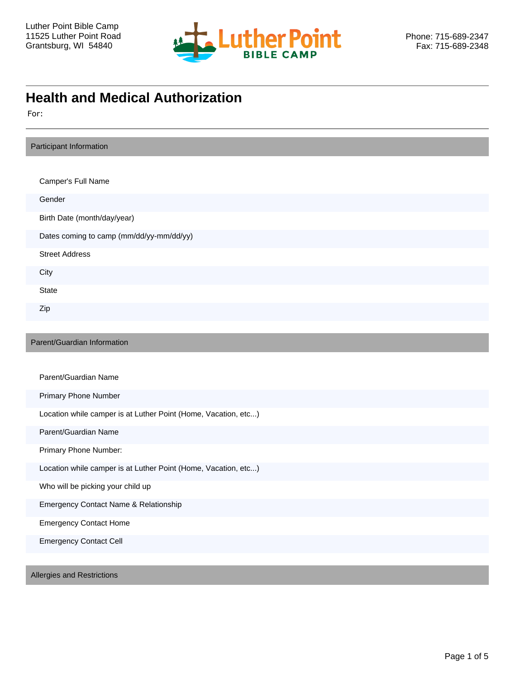

# **Health and Medical Authorization**

For:

| Participant Information                                        |
|----------------------------------------------------------------|
|                                                                |
| Camper's Full Name                                             |
| Gender                                                         |
| Birth Date (month/day/year)                                    |
| Dates coming to camp (mm/dd/yy-mm/dd/yy)                       |
| <b>Street Address</b>                                          |
| City                                                           |
| State                                                          |
| Zip                                                            |
|                                                                |
| Parent/Guardian Information                                    |
|                                                                |
| Parent/Guardian Name                                           |
| <b>Primary Phone Number</b>                                    |
| Location while camper is at Luther Point (Home, Vacation, etc) |
| Parent/Guardian Name                                           |
| Primary Phone Number:                                          |
| Location while camper is at Luther Point (Home, Vacation, etc) |
| Who will be picking your child up                              |
| Emergency Contact Name & Relationship                          |
| <b>Emergency Contact Home</b>                                  |
| <b>Emergency Contact Cell</b>                                  |
|                                                                |
| Allergies and Restrictions                                     |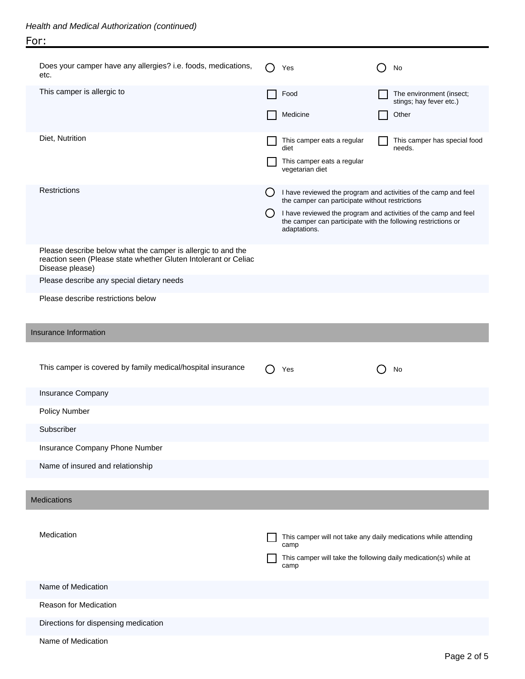| Does your camper have any allergies? i.e. foods, medications,<br>etc.                                                                              | Yes                                           | No                                                                                                                               |  |
|----------------------------------------------------------------------------------------------------------------------------------------------------|-----------------------------------------------|----------------------------------------------------------------------------------------------------------------------------------|--|
| This camper is allergic to                                                                                                                         | Food                                          | The environment (insect;<br>stings; hay fever etc.)                                                                              |  |
|                                                                                                                                                    | Medicine                                      | Other                                                                                                                            |  |
| Diet, Nutrition                                                                                                                                    |                                               |                                                                                                                                  |  |
|                                                                                                                                                    | This camper eats a regular<br>diet            | This camper has special food<br>needs.                                                                                           |  |
|                                                                                                                                                    | This camper eats a regular<br>vegetarian diet |                                                                                                                                  |  |
| <b>Restrictions</b>                                                                                                                                |                                               |                                                                                                                                  |  |
|                                                                                                                                                    |                                               | I have reviewed the program and activities of the camp and feel<br>the camper can participate without restrictions               |  |
|                                                                                                                                                    | adaptations.                                  | I have reviewed the program and activities of the camp and feel<br>the camper can participate with the following restrictions or |  |
| Please describe below what the camper is allergic to and the<br>reaction seen (Please state whether Gluten Intolerant or Celiac<br>Disease please) |                                               |                                                                                                                                  |  |
| Please describe any special dietary needs                                                                                                          |                                               |                                                                                                                                  |  |
| Please describe restrictions below                                                                                                                 |                                               |                                                                                                                                  |  |
|                                                                                                                                                    |                                               |                                                                                                                                  |  |
| Insurance Information                                                                                                                              |                                               |                                                                                                                                  |  |
|                                                                                                                                                    |                                               |                                                                                                                                  |  |
|                                                                                                                                                    |                                               |                                                                                                                                  |  |
| This camper is covered by family medical/hospital insurance                                                                                        | Yes                                           | No                                                                                                                               |  |
| Insurance Company                                                                                                                                  |                                               |                                                                                                                                  |  |
| Policy Number                                                                                                                                      |                                               |                                                                                                                                  |  |
| Subscriber                                                                                                                                         |                                               |                                                                                                                                  |  |
| Insurance Company Phone Number                                                                                                                     |                                               |                                                                                                                                  |  |
| Name of insured and relationship                                                                                                                   |                                               |                                                                                                                                  |  |
|                                                                                                                                                    |                                               |                                                                                                                                  |  |
| <b>Medications</b>                                                                                                                                 |                                               |                                                                                                                                  |  |
|                                                                                                                                                    |                                               |                                                                                                                                  |  |
| Medication                                                                                                                                         | camp                                          | This camper will not take any daily medications while attending                                                                  |  |
|                                                                                                                                                    |                                               | This camper will take the following daily medication(s) while at                                                                 |  |
|                                                                                                                                                    | camp                                          |                                                                                                                                  |  |
| Name of Medication                                                                                                                                 |                                               |                                                                                                                                  |  |
| Reason for Medication                                                                                                                              |                                               |                                                                                                                                  |  |
| Directions for dispensing medication<br>Name of Medication                                                                                         |                                               |                                                                                                                                  |  |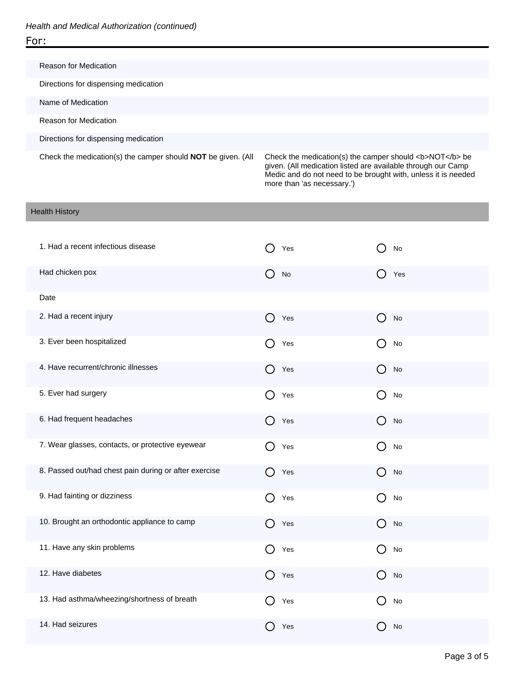Reason for Medication Directions for dispensing medication Name of Medication Reason for Medication Directions for dispensing medication Check the medication(s) the camper should **NOT** be given. (All Check the medication(s) the camper should <b>NOT</b> be given. (All medication listed are available through our Camp

more than 'as necessary.')

Medic and do not need to be brought with, unless it is needed

#### Health History

| 1. Had a recent infectious disease                    | Yes                                                  | No                                                  |
|-------------------------------------------------------|------------------------------------------------------|-----------------------------------------------------|
| Had chicken pox                                       | $\bigcirc$<br><b>No</b>                              | Yes                                                 |
| Date                                                  |                                                      |                                                     |
| 2. Had a recent injury                                | $\left(\begin{array}{c} 1 \end{array}\right)$<br>Yes | $\left(\begin{array}{c} \end{array}\right)$<br>No   |
| 3. Ever been hospitalized                             | ( )<br>Yes                                           | No<br>( )                                           |
| 4. Have recurrent/chronic illnesses                   | ( )<br>Yes                                           | No                                                  |
| 5. Ever had surgery                                   | ( )<br>Yes                                           | No<br>( )                                           |
| 6. Had frequent headaches                             | $\left( \right)$<br>Yes                              | ( )<br>No                                           |
| 7. Wear glasses, contacts, or protective eyewear      | ∩<br>Yes                                             | ( )<br>No                                           |
| 8. Passed out/had chest pain during or after exercise | ( )<br>Yes                                           | $\left( \right)$<br>No                              |
| 9. Had fainting or dizziness                          | ( )<br>Yes                                           | No<br>( )                                           |
| 10. Brought an orthodontic appliance to camp          | $\Box$<br>Yes                                        | $\Box$<br>No                                        |
| 11. Have any skin problems                            | O<br>Yes                                             | O<br>No                                             |
| 12. Have diabetes                                     | ( )<br>Yes                                           | No<br>( )                                           |
| 13. Had asthma/wheezing/shortness of breath           | $\overline{\phantom{a}}$<br>Yes                      | $\left( \begin{array}{c} \end{array} \right)$<br>No |
| 14. Had seizures                                      | Yes                                                  | No                                                  |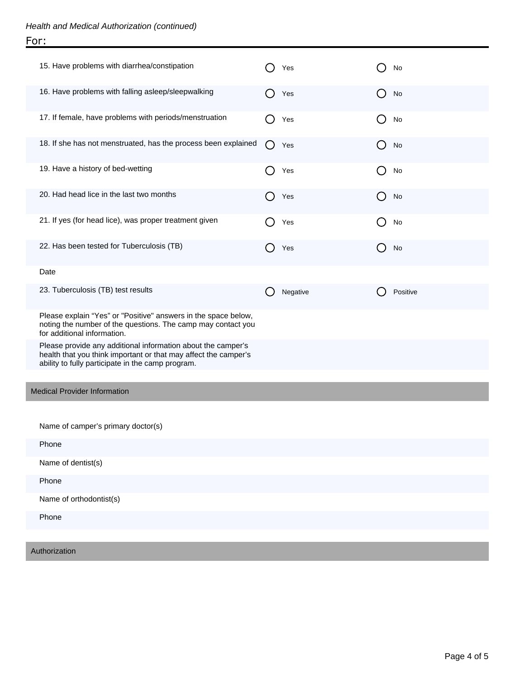| 15. Have problems with diarrhea/constipation                                                                                                                                         | Yes           | No                           |
|--------------------------------------------------------------------------------------------------------------------------------------------------------------------------------------|---------------|------------------------------|
| 16. Have problems with falling asleep/sleepwalking                                                                                                                                   | Yes           | No<br>$\left( \quad \right)$ |
| 17. If female, have problems with periods/menstruation                                                                                                                               | Yes<br>0      | No<br>( )                    |
| 18. If she has not menstruated, has the process been explained                                                                                                                       | ( )<br>Yes    | No<br>$\left( \quad \right)$ |
| 19. Have a history of bed-wetting                                                                                                                                                    | Yes<br>0      | No<br>( )                    |
| 20. Had head lice in the last two months                                                                                                                                             | Yes<br>. .    | No<br>$\left( \quad \right)$ |
| 21. If yes (for head lice), was proper treatment given                                                                                                                               | Yes           | No<br>( )                    |
| 22. Has been tested for Tuberculosis (TB)                                                                                                                                            | Yes<br>$\Box$ | No<br>$\left( \quad \right)$ |
| Date                                                                                                                                                                                 |               |                              |
| 23. Tuberculosis (TB) test results                                                                                                                                                   | Negative      | Positive                     |
| Please explain "Yes" or "Positive" answers in the space below,<br>noting the number of the questions. The camp may contact you<br>for additional information.                        |               |                              |
| Please provide any additional information about the camper's<br>health that you think important or that may affect the camper's<br>ability to fully participate in the camp program. |               |                              |
| <b>Medical Provider Information</b>                                                                                                                                                  |               |                              |
|                                                                                                                                                                                      |               |                              |
| Name of camper's primary doctor(s)                                                                                                                                                   |               |                              |
| Phone                                                                                                                                                                                |               |                              |
| Name of dentist(s)                                                                                                                                                                   |               |                              |
| Phone                                                                                                                                                                                |               |                              |
| Name of orthodontist(s)                                                                                                                                                              |               |                              |
| Phone                                                                                                                                                                                |               |                              |
| Authorization                                                                                                                                                                        |               |                              |